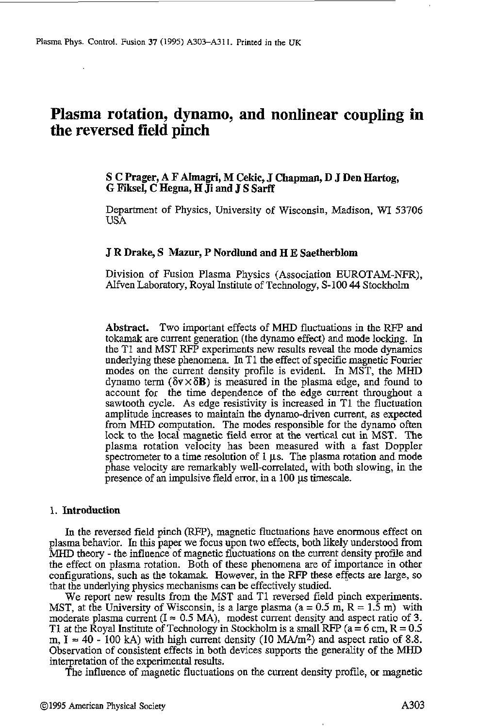# **Plasma rotation, dynamo, and nonlinear coupling in the reversed field pinch**

# **S C Prager, A F ALmagri, M Cekic, J Chapman, D J Den Hartog, G Fiksel, C Hegna, H Ji and J S Sarff**

Department of Physics, University **of** Wisconsin, Madison, WI **53706 USA** 

# **J R Drake, S Mazur, P Nordlund and HE Saetherblom**

Division of Fusion Plasma Physics (Association EUROTAM-NFR), Alfven Laboratory, Royal Institute of Technology, S-100 **44** Stockholm

**Abstract.** Two important effects of MHD fluctuations in the RFP and tokamak are current generation (the dynamo effect) and mode locking. In the TI and MST RFP experiments new results reveal the mode dynamics underlying these phenomena. In T1 the effect of specific magnetic Fourier modes on the current density profile is evident. In MST, the MHD dynamo term  $(\delta v \times \delta B)$  is measured in the plasma edge, and found to account for the time dependence of the edge current throughout a sawtooth cycle. **As** edge resistivity is increased in T1 the fluctuation amplitude increases to maintain the dynamo-driven current, as expected from MHD computation. The modes responsible for the dynamo often lock to the local magnetic field error at the vertical cut in MST. The plasma rotation velocity has been measured with a fast Doppler spectrometer to a time resolution of 1 µs. The plasma rotation and mode phase velocity are remarkably well-correlated, with both slowing, in the presence of an impulsive field error, in a 100 **ps** timescale.

#### 1. **Introduction**

In the reversed field pinch (RFP), magnetic fluctuations have enonnous effect on plasma behavior. In this paper we focus upon two effects, both likely understood from MHD theory - the influence of magnetic fluctuations on the current density profile and the effect on plasma rotation. Both of these phenomena are of importance in other configurations, such as the tokamak. However, in the RFP these effects are large, so that the underlying physics mechanisms can be effectively studied.

We report new results from the MST and T1 reversed field pinch experiments. MST, at the University of Wisconsin, is a large plasma ( $a = 0.5$  m,  $R = 1.5$  m) with moderate plasma current  $(I \approx 0.5 \text{ MA})$ , modest current density and aspect ratio of 3. T1 **at** the Royal **Institute of** Technology in Stockholm is a small RFP (a = 6 cm, R = 0.5 m,  $I \approx 40$  - 100 kA) with high current density (10 MA/m<sup>2</sup>) and aspect ratio of 8.8. Observation of consistent effects in both devices supports the generality of the MHD interpretation of the experimental results.

The influence of magnetic fluctuations on the current density profile, or magnetic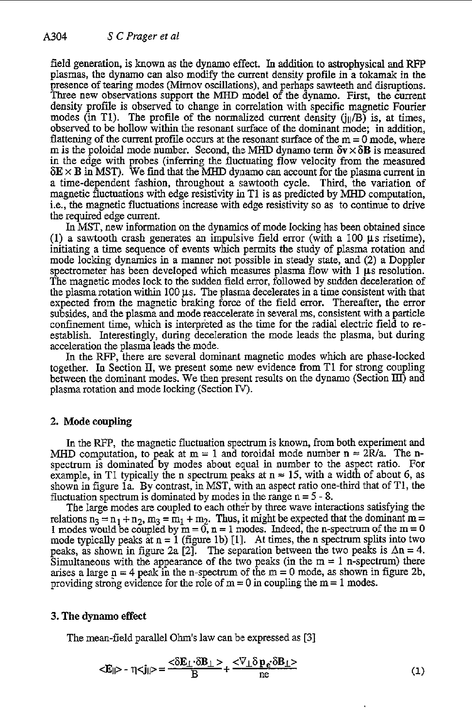field generation, is known as the dynamo effect. In addition to astrophysical and RFP plasmas, the dynamo can also modify the current density profiie in a tokamak in the presence of tearing modes (Mirnov oscillations), and perhaps sawteeth and disruptions. Three new observations support the MHD model of the dynamo. First, the current density profile **is** observed to change in correlation with specific magnetic Fourier modes (in T1). The profile of the normalized current density  $(i\|/B)$  is, at times, observed to be hollow within the resonant surface of the dominant mode; in addition, flattening of the current profile occurs at the resonant surface of the  $m = 0$  mode, where m is the poloidal mode number. Second, the MHD dynamo term  $\delta v \times \delta B$  is measured in the edge with probes (inferring the fluctuating flow velocity from the measured  $\delta E \times B$  in MST). We find that the MHD dynamo can account for the plasma current in a time-dependent fashion, throughout a sawtooth cycle. Third, the variation of magnetic fluctuations with edge resistivity in T1 is as predicted by MHD computation, i.e., the magnetic fluctuations increase with edge resistivity so as to continue to drive the required edge current.

In MST, new information on the dynamics of mode locking has been obtained since (1) a sawtooth crash generates an impulsive field error (with a 100  $\mu$ s risetime), initiating a time sequence of events which permits the study of plasma rotation and mode locking dynamics in a manner not possible in steady state, and *(2)* a Doppler spectrometer has been developed which measures plasma flow with 1  $\mu$ s resolution. The magnetic modes lock to the sudden field error, followed by sudden deceleration of the plasma rotation within 100 **ps.** The plasma decelerates in a time consistent with that expected from the magnetic braking force of the field error. Thereafter, the error subsides, and the plasma and mode reaccelerate in several **ms,** consistent with a particle confinement time, which is interpreted as the time for the radial electric field to reestablish. Interestingly, during deceleration the mode leads the plasma, but during acceleration the plasma leads the mode.

In the WP, there are several dominant magnetic modes which are phase-locked together. In Section **II,** we present some new evidence from T1 for strong coupling between the dominant modes. We then present results on the dynamo (Section IU) and plasma rotation and mode locking (Section *N).* 

## **2.** Mode coupling

In the WP, the magnetic fluctuation spectrum is known, from both experiment and MHD computation, to peak at  $m = 1$  and toroidal mode number  $n \approx 2R/a$ . The nspectrum is dominated by modes about equal in number to the aspect ratio. For example, in T1 typically the n spectrum peaks at  $n \approx 15$ , with a width of about 6, as shown in figure la. By contrast, in MST, with an aspect ratio one-third that of T1, the fluctuation spectrum is dominated by modes in the range  $n = 5 - 8$ .

The large modes are coupled to each other by three wave interactions satisfying the relations  $n_3 = n_1 + n_2$ ,  $m_3 = m_1 + m_2$ . Thus, it might be expected that the dominant  $m = 1$  modes would be coupled by  $m = 0$ ,  $n = 1$  modes. Indeed, the n-spectrum of the  $m = 0$ mode typically peaks at  $n = 1$  (figure 1b) [1]. At times, the n spectrum splits into two peaks, as shown in figure 2a [2]. The separation between the two peaks is  $\Delta n = 4$ . Simultaneous with the appearance of the two peaks (in the  $m = 1$  n-spectrum) there arises a large  $p = 4$  peak in the n-spectrum of the  $m = 0$  mode, as shown in figure 2b, providing strong evidence for the role of  $m = 0$  in coupling the  $m = 1$  modes.

## **3.** The **dynamo** effect

The mean-field parallel Ohm's law can be expressed as **[3]** 

$$
\langle E_{\parallel} \rangle - \eta \langle j_{\parallel} \rangle = \frac{\langle \delta E_{\perp} \cdot \delta B_{\perp} \rangle}{B} + \frac{\langle \nabla_{\perp} \delta p_{\varepsilon} \cdot \delta B_{\perp} \rangle}{ne} \tag{1}
$$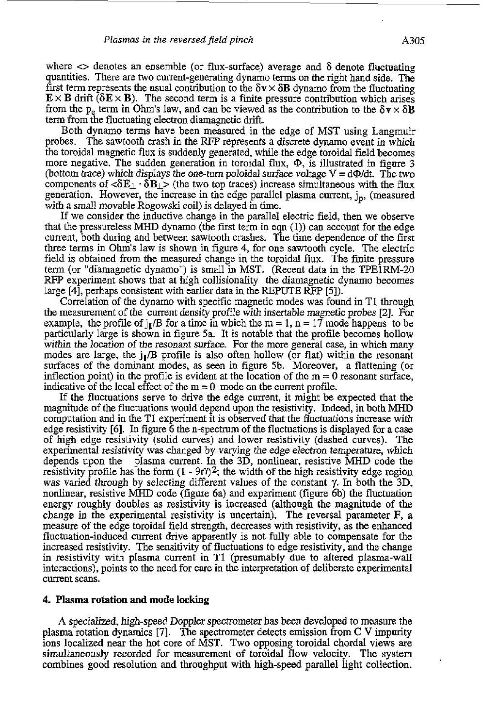where  $\leq$  denotes an ensemble (or flux-surface) average and  $\delta$  denote fluctuating quantities. There are two current-generating dynamo terms on the right hand side. The first term represents the usual contribution to the  $\delta v \times \delta B$  dynamo from the fluctuating  $E \times B$  drift ( $\delta E \times B$ ). The second term is a finite pressure contribution which arises from the p<sub>e</sub> term in Ohm's law, and can be viewed as the contribution to the  $\delta v \times \delta B$ term from the fluctuating electron diamagnetic drift.

Both dynamo terms have been measured in the edge of MST using Langmuir probes. The sawtooth crash in the RFP represents a discrete dynamo event in which the toroidal magnetic flux is suddenly generated, while the edge toroidal field becomes more negative. The sudden generation in toroidal flux,  $\Phi$ , is illustrated in figure 3 (bottom trace) which displays the one-turn poloidal surface voltage  $V = d\Phi/dt$ . The two components of  $\langle \delta E_{\perp} \cdot \delta B_{\perp} \rangle$  (the two top traces) increase simultaneous with the flux generation. However, the increase in the edge parallel plasma current, j<sub>n</sub>, (measured with a small movable Rogowski coil) is delayed in time.

If we consider the inductive change in the parallel electric field, then we observe that the pressureless MHD dynamo (the first term in eqn (1)) can account for the edge current, both during and between sawtooth crashes. The time dependence of the first three terms in Ohm's law is shown in figure **4,** for one sawtooth cycle. The electric field is obtained from the measured change in the toroidal flux. The finite pressure term (or "diamagnetic dynamo") is small in MST. (Recent data in the TPElRM-20 RFP experiment shows that at high collisionality the diamagnetic dynamo becomes large [4], perhaps consistent with earlier data in the REPUTE RFP [5]).

Correlation of the dynamo with specific magnetic modes was found in TI through the measurement of the current density profile with insertable magnetic probes 121. For example, the profile of  $\frac{1}{2}$  for a time in which the m = 1, n = 17 mode happens to be particularly large is shown in figure 5a. It is notable that the profile becomes hollow within the location of the resonant surface. For the more general case, in which many modes are large, the  $j/B$  profile is also often hollow (or flat) within the resonant surfaces of the dominant modes, as seen in figure 5b. Moreover, a flattening (or inflection point) in the profile is evident at the location of the  $m = 0$  resonant surface, indicative of the local effect of the  $m = 0$  mode on the current profile.

If the fluctuations serve to drive the edge current, it might be expected that the magnitude of the fluctuations would depend upon the resistivity. Indeed, in both MHD computation and in the T1 experiment it is observed that the fluctuations increase with edge resistivity [6]. In figure 6 the n-spectrum of the fluctuations is displayed for a case of high edge resistivity (solid curves) and lower resistivity (dashed curves). The experimental resistivity was changed by varying the edge electron temperature, which depends upon the plasma current. In the 3D, nonlinear, resistive **MHD** code the resistivity profile has the form  $(1 - 9r<sup>2</sup>)<sup>2</sup>$ ; the width of the high resistivity edge region was varied through by selecting different values of the constant **7.** In both the 3D, nonlinear, resistive MHD code (figure 6a) and experiment (figure 6b) the fluctuation energy roughly doubles as resistivity is increased (although the magnitude of the change in the experimental resistivity is uncertain). The reversal parameter **F,** a measure of the edge toroidal field strength, decreases with resistivity, **as** the enhanced fluctuation-induced current drive apparently is not fully able to compensate for the increased resistivity. The sensitivity of fluctuations to edge resistivity, and the change in resistivity with plasma current in T1 (presumably due to altered plasma-wall interactions), points to the need for care in the interpretation of deliberate experimental current scans.

#### **4. Plasma rotation and mode locking**

**A** specialized, high-speed Doppler spectrometer has been developed to measure the plasma rotation dynamics [7]. The spectrometer detects emission from C V impurity ions localized near the hot core of MST. Two opposing toroidal chordal views are simultaneously recorded for measurement of toroidal flow velocity. The system combines good resolution and throughput with high-speed parallel light collection.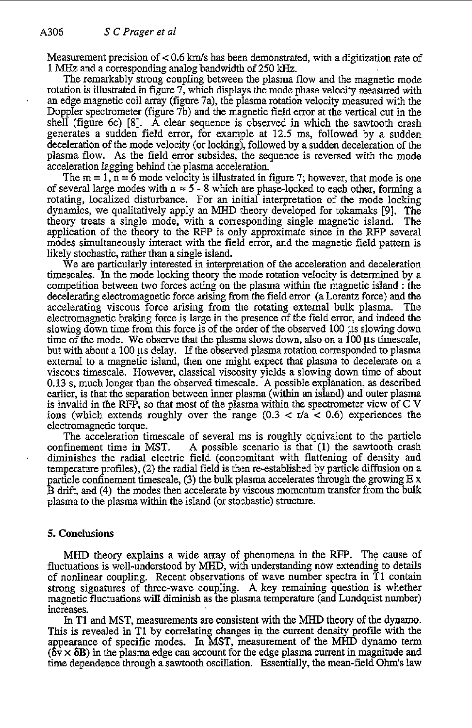Measurement precision of < 0.6 *Ws* has been demonstrated, with a digitization rate of 1 MHz and a corresponding analog bandwidth of 250 kHz.

The remarkably strong coupling between the plasma flow and the magnetic mode rotation is illustrated in figure 7, which displays the mode phase velocity measured with an edge magnetic coil array (figure 7a), the plasma rotation velocity measured with the Doppler spectrometer (figure *7b)* and the magnetic field error at the vertical cut in the shell (figure 6c) [SI. **A** clear sequence is observed in which the sawtooth crash generates a sudden field error, for example at 12.5 ms, followed by a sudden deceleration of the mode velocity (or locking), followed by a sudden deceleration of the plasma flow. **As** the field error subsides, the sequence is reversed with the mode acceleration lagging behind the plasma acceleration.

The m = 1, n = **6** mode velocity is illustrated in figure **7;** however, that mode is one of several large modes with  $n \approx 5$  - 8 which are phase-locked to each other, forming a rotating, localized disturbance. For an initial interpretation of the mode locking dynamics, we qualitatively apply an **MHD** theory developed for tokamaks **191.** The theory treats a single mode, with a corresponding single magnetic island. application of the theory to the RFP is only approximate since in the RFP several modes simultaneously interact with the field error, and the magnetic field pattern is likely stochastic, rather than a single island.

We are particularly interested in interpretation of the acceleration and deceleration timescales. In the mode locking theory the mode rotation velocity is determined by a competition between two forces acting on the plasma within the magnetic island : the decelerating electromagnetic force arising from the field error (a Lorentz force) and the accelerating viscous force arising from the rotating external bulk plasma. The accelerating viscous force arising from the rotating external bulk plasma. electromagnetic braking force is large in the presence of the field error, and indeed the slowing down time from this force is of the order of the observed  $100 \mu s$  slowing down time of the mode. We observe that the plasma slows down, also on a 100  $\mu$ s timescale, but with about a 100 **ps** delay. If the observed plasma rotation corresponded to plasma external to a magnetic island, then one might expect that plasma to decelerate on a viscous timescale. However, classical viscosity yields a slowing down time of about 0.13 s, much longer than the observed timescale. **A** possible explanation, as described earlier, is that the separation between inner plasma (within an island) and outer plasma is invalid in the RFP, so that most of the plasma within the spectrometer view of C V ions (which extends roughly over the range  $(0.3 < r/a < 0.6)$  experiences the electromagnetic torque.

The acceleration timescale of several ms is roughly equivalent to the particle confinement time in MST. **A** possible scenario is that (1) the sawtooth crash diminishes the radial electric field (concomitant with flattening of density and temperature profiles), **(2)** the radial field is then re-established by particle diffusion on a particle confinement timescale, **(3)** the bulk plasma accelerates through the growing E **x**  B **drift,** and (4) the modes then accelerate by viscous momentum transfer from the hulk plasma to the plasma within the island (or stochastic) structure.

#### **5. Conclusions**

MHD theory explains a wide array of phenomena in the RFP. The cause of fluctuations is well-understood by MHD, with understanding now extending to details of nonlinear coupling. Recent observations of wave number spectra in TI contain strong signatures of three-wave coupling. **A** key remaining question is whether magnetic fluctuations will diminish as the plasma temperature (and Lundquist number) increases.

In **T1** and **MST,** measurements are consistent with the **MHD** theory of the dynamo. This is revealed in T1 by correlating changes in the current density profile with the a pearance of specific modes. In **MST,** measurement of the **MHD** dynamo term  $(\delta \vec{v} \times \delta B)$  in the plasma edge can account for the edge plasma current in magnitude and time dependence through a sawtooth oscillation. Essentially, the mean-field **Ohm's** law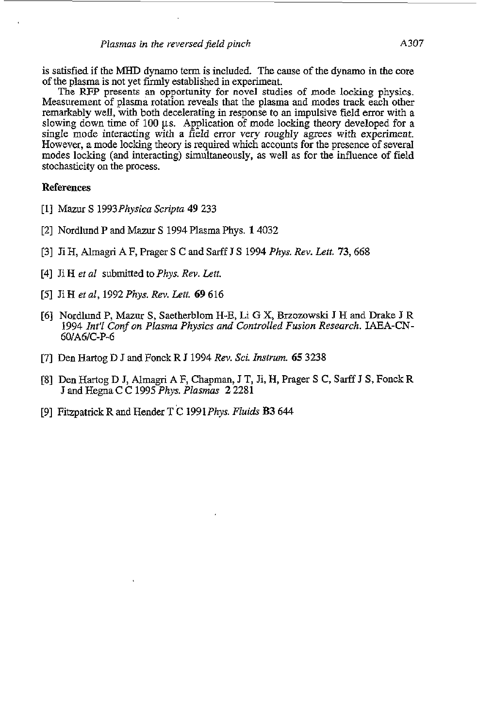is satisfied if the MHD dynamo term is included. The cause of the dynamo in the core of the **plasma** is not yet firmly established in experiment.

The RFP presents an opportunity for novel studies of mode locking physics. Measurement of plasma rotation reveals that the plasma and modes track each other remarkably well, with both decelerating in response to an impulsive field error with a slowing down time of 100  $\mu$ s. Application of mode locking theory developed for a single mode interacting with a field error very roughly agrees with experiment. However, a mode locking theory is required which accounts **for** the presence of several modes locking (and interacting) simultaneously, as well as for the influence of field stochasticity on the process.

#### **References**

- [l] Mazur **S** *1993Physica Scripta* **49** *233*
- [2] Nordlund P and Mazur *S 1994* Plasma Phys. *14032*
- *[3]* Ji *H,* Almagri A F, Prager **S** C and **Sarff J** *S 1994 Phys. Rev. Left.* 73,668
- *[4]* Ji H *et al* submitted to *Phys. Rev. Lett.*
- [5] Ji H *et al, 1992 Phys. Rev. Lett.* **69** 616
- [6] Nordlund P, Mazur *S,* Saetherblom H-E, **Li** G X, Brzozowski **J** H and Drake **J** R *1994 Int? Conf on Plasma Physics and Controlled Fusion Research.* IAEA-CN-60/A6/C-P-6
- [7] Den Hartog D J and Fonck R **J** *1994 Rev.* Sci. *Instrum.* **65** *3238*
- [8] Den Hartog D **J, Almagri** A F, Chapman, J T, Ji, H, Prager *S* C, **Sarff** J **S,** Fonck R **J** and Hegna C C *1995 Phys. Plasm* 2 2281
- *[9]* Fitzpatrick R and Hender T C *1991 Phys. Fluids* **B3 644**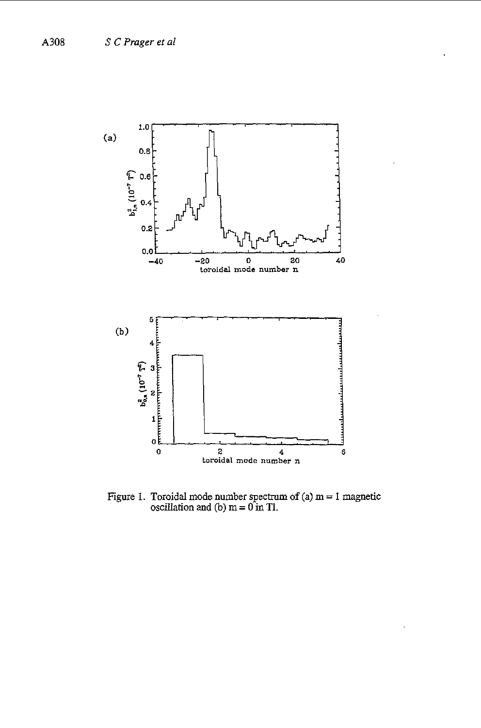

Figure 1. Toroidal mode number spectrum of  $(a)$   $m = 1$  magnetic oscillation and (b)  $m = 0$  in Tl.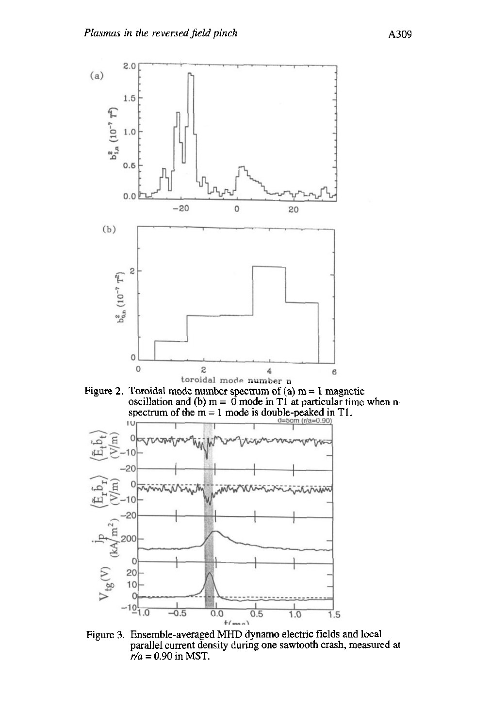

Figure **3.** Ensemble-averaged MHD dynamo electric fields and local parallel current density during one sawtooth crash, measured at  $r/a = 0.90$  in MST.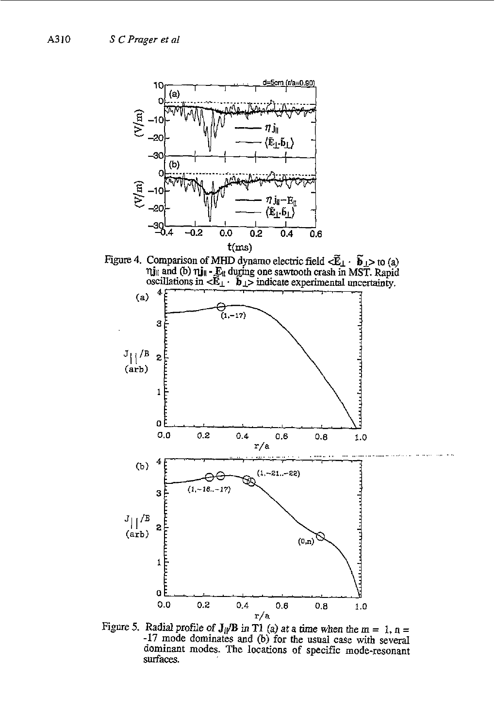

Figure 4. Comparison of MHD dynamo electric field  $\leq \tilde{E}_{\perp} \cdot \tilde{b}_{\perp} >$  to (a)  $\hat{\mathbf{n}}$  and (b)  $\hat{\mathbf{n}}$ **j**<sub>ii</sub> **-**  $\hat{\mathbf{E}}_1$  during one sawtooth crash in MST. Rapid oscillations in  $\langle \hat{\mathbf{E}}_1 \cdot \hat{\mathbf{b}}_1 \rangle$  indicate experimental uncertainty.



Figure 5. Radial profile of  $J_{\parallel}/B$  *in* T1 (a) at a time when the m = 1, n = -17 mode dominates and (b) for the usual case with several dominant modes. The locations of specific mode-resonant **SurfaceS.**